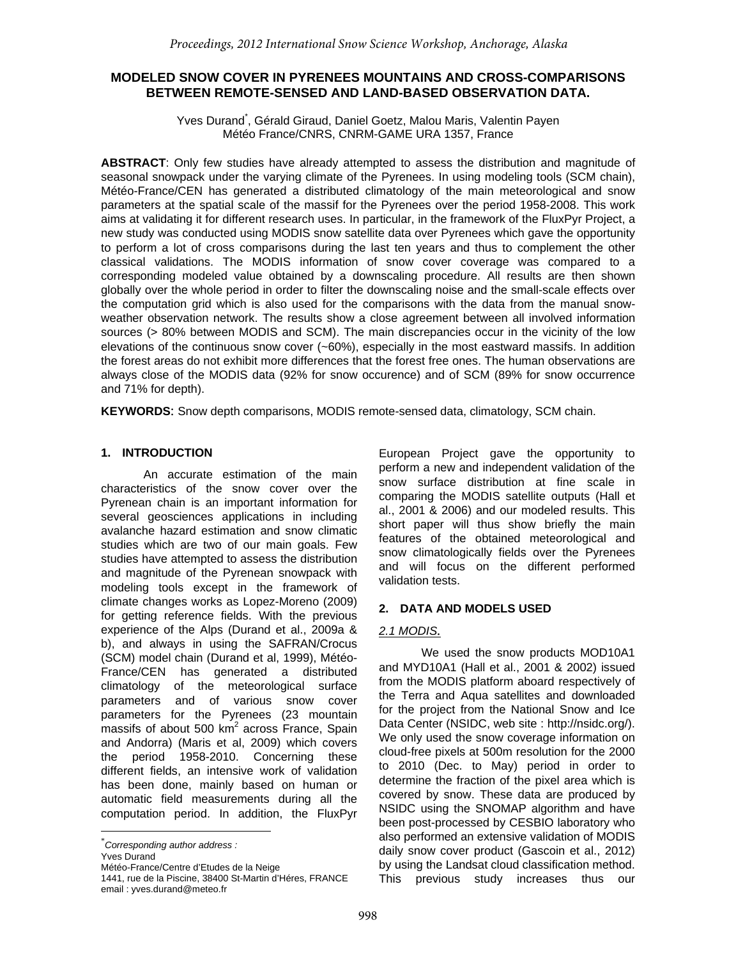# **MODELED SNOW COVER IN PYRENEES MOUNTAINS AND CROSS-COMPARISONS BETWEEN REMOTE-SENSED AND LAND-BASED OBSERVATION DATA.**

Yves Durand<sup>\*</sup>, Gérald Giraud, Daniel Goetz, Malou Maris, Valentin Payen Météo France/CNRS, CNRM-GAME URA 1357, France

**ABSTRACT**: Only few studies have already attempted to assess the distribution and magnitude of seasonal snowpack under the varying climate of the Pyrenees. In using modeling tools (SCM chain), Météo-France/CEN has generated a distributed climatology of the main meteorological and snow parameters at the spatial scale of the massif for the Pyrenees over the period 1958-2008. This work aims at validating it for different research uses. In particular, in the framework of the FluxPyr Project, a new study was conducted using MODIS snow satellite data over Pyrenees which gave the opportunity to perform a lot of cross comparisons during the last ten years and thus to complement the other classical validations. The MODIS information of snow cover coverage was compared to a corresponding modeled value obtained by a downscaling procedure. All results are then shown globally over the whole period in order to filter the downscaling noise and the small-scale effects over the computation grid which is also used for the comparisons with the data from the manual snowweather observation network. The results show a close agreement between all involved information sources (> 80% between MODIS and SCM). The main discrepancies occur in the vicinity of the low elevations of the continuous snow cover (~60%), especially in the most eastward massifs. In addition the forest areas do not exhibit more differences that the forest free ones. The human observations are always close of the MODIS data (92% for snow occurence) and of SCM (89% for snow occurrence and 71% for depth).

**KEYWORDS**: Snow depth comparisons, MODIS remote-sensed data, climatology, SCM chain.

# **1. INTRODUCTION[1](#page-0-0)**

An accurate estimation of the main characteristics of the snow cover over the Pyrenean chain is an important information for several geosciences applications in including avalanche hazard estimation and snow climatic studies which are two of our main goals. Few studies have attempted to assess the distribution and magnitude of the Pyrenean snowpack with modeling tools except in the framework of climate changes works as Lopez-Moreno (2009) for getting reference fields. With the previous experience of the Alps (Durand et al., 2009a & b), and always in using the SAFRAN/Crocus (SCM) model chain (Durand et al, 1999), Météo-France/CEN has generated a distributed climatology of the meteorological surface parameters and of various snow cover parameters for the Pyrenees (23 mountain massifs of about 500  $km^2$  across France, Spain and Andorra) (Maris et al, 2009) which covers the period 1958-2010. Concerning these different fields, an intensive work of validation has been done, mainly based on human or automatic field measurements during all the computation period. In addition, the FluxPyr

<span id="page-0-0"></span>

European Project gave the opportunity to perform a new and independent validation of the snow surface distribution at fine scale in comparing the MODIS satellite outputs (Hall et al., 2001 & 2006) and our modeled results. This short paper will thus show briefly the main features of the obtained meteorological and snow climatologically fields over the Pyrenees and will focus on the different performed validation tests.

# **2. DATA AND MODELS USED**

# *2.1 MODIS.*

We used the snow products MOD10A1 and MYD10A1 (Hall et al., 2001 & 2002) issued from the MODIS platform aboard respectively of the Terra and Aqua satellites and downloaded for the project from the National Snow and Ice Data Center (NSIDC, web site : http://nsidc.org/). We only used the snow coverage information on cloud-free pixels at 500m resolution for the 2000 to 2010 (Dec. to May) period in order to determine the fraction of the pixel area which is covered by snow. These data are produced by NSIDC using the SNOMAP algorithm and have been post-processed by CESBIO laboratory who also performed an extensive validation of MODIS daily snow cover product (Gascoin et al., 2012) by using the Landsat cloud classification method. This previous study increases thus our

<sup>\*</sup> *Corresponding author address :* 

Yves Durand

Météo-France/Centre d'Etudes de la Neige

<sup>1441,</sup> rue de la Piscine, 38400 St-Martin d'Héres, FRANCE email : yves.durand@meteo.fr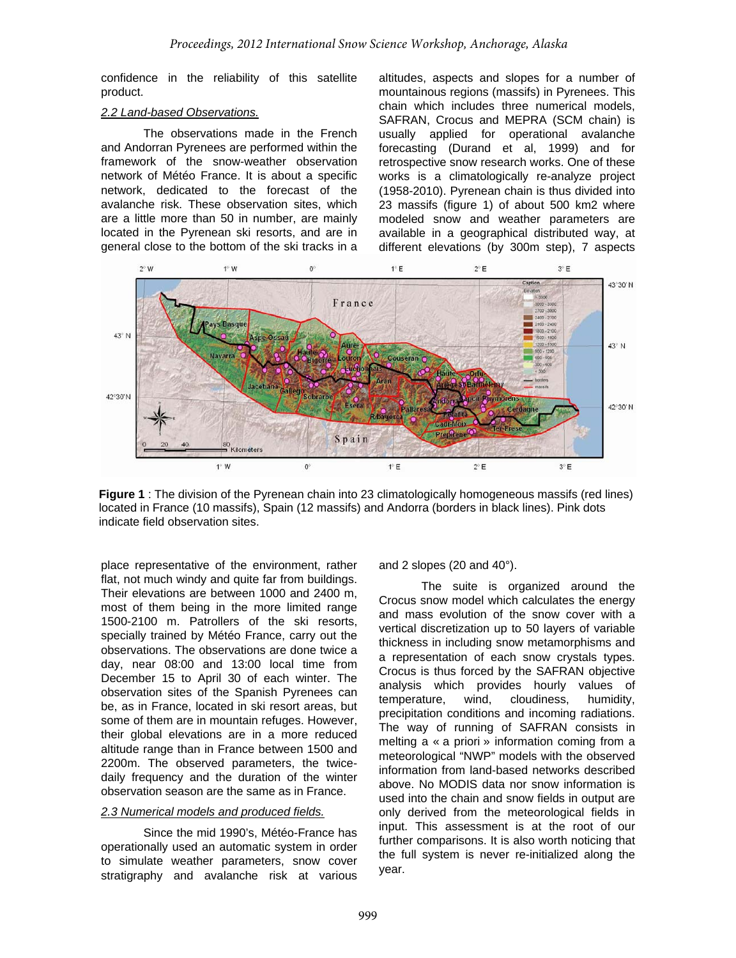confidence in the reliability of this satellite product.

## *2.2 Land-based Observations.*

The observations made in the French and Andorran Pyrenees are performed within the framework of the snow-weather observation network of Météo France. It is about a specific network, dedicated to the forecast of the avalanche risk. These observation sites, which are a little more than 50 in number, are mainly located in the Pyrenean ski resorts, and are in general close to the bottom of the ski tracks in a altitudes, aspects and slopes for a number of mountainous regions (massifs) in Pyrenees. This chain which includes three numerical models, SAFRAN, Crocus and MEPRA (SCM chain) is usually applied for operational avalanche forecasting (Durand et al, 1999) and for retrospective snow research works. One of these works is a climatologically re-analyze project (1958-2010). Pyrenean chain is thus divided into 23 massifs (figure 1) of about 500 km2 where modeled snow and weather parameters are available in a geographical distributed way, at different elevations (by 300m step), 7 aspects



**Figure 1** : The division of the Pyrenean chain into 23 climatologically homogeneous massifs (red lines) located in France (10 massifs), Spain (12 massifs) and Andorra (borders in black lines). Pink dots indicate field observation sites.

place representative of the environment, rather flat, not much windy and quite far from buildings. Their elevations are between 1000 and 2400 m, most of them being in the more limited range 1500-2100 m. Patrollers of the ski resorts, specially trained by Météo France, carry out the observations. The observations are done twice a day, near 08:00 and 13:00 local time from December 15 to April 30 of each winter. The observation sites of the Spanish Pyrenees can be, as in France, located in ski resort areas, but some of them are in mountain refuges. However, their global elevations are in a more reduced altitude range than in France between 1500 and 2200m. The observed parameters, the twicedaily frequency and the duration of the winter observation season are the same as in France.

## *2.3 Numerical models and produced fields.*

Since the mid 1990's, Météo-France has operationally used an automatic system in order to simulate weather parameters, snow cover stratigraphy and avalanche risk at various

and 2 slopes (20 and 40°).

The suite is org anized around the Crocus snow model which calculates the energy and mass evolution of the snow cover with a vertical discretization up to 50 layers of variable thickness in including snow metamorphisms and a representation of each snow crystals types. Crocus is thus forced by the SAFRAN objective analysis which provides hourly values of temperature, wind, cloudiness, humidity, precipitation conditions and incoming radiations. The way of running of SAFRAN consists in melting a « a priori » information coming from a meteorological "NWP" models with the observed information from land-based networks described above. No MODIS data nor snow information is used into the chain and snow fields in output are only derived from the meteorological fields in input. This assessment is at the root of our further comparisons. It is also worth noticing that the full system is never re-initialized along the year.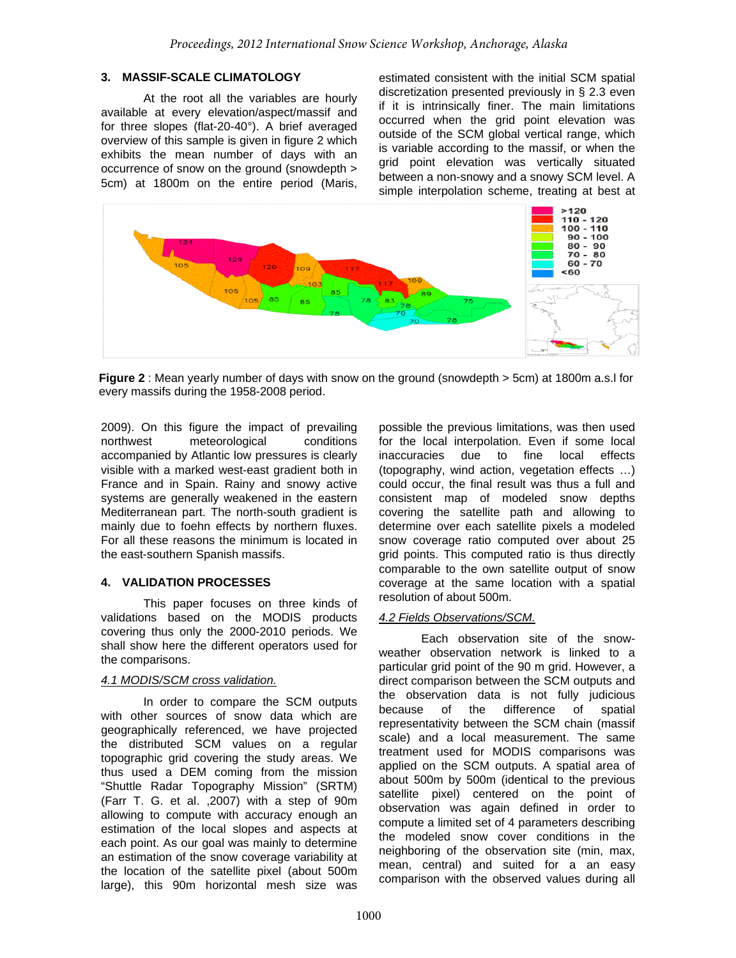## **3. MASSIF-SCALE CLIMATOLOGY**

At the root all the variables are hourly available at every elevation/aspect/massif and for three slopes (flat-20-40°). A brief averaged overview of this sample is given in figure 2 which exhibits the mean number of days with an occurrence of snow on the ground (snowdepth > 5cm) at 1800m on the entire period (Maris,

estimated consistent with the initial SCM spatial discretization presented previously in § 2.3 even if it is intrinsically finer. The main limitations occurred when the grid point elevation was outside of the SCM global vertical range, which is variable according to the massif, or when the grid point elevation was vertically situated between a non-snowy and a snowy SCM level. A simple interpolation scheme, treating at best at



**Figure 2** : Mean yearly number of days with snow on the ground (snowdepth > 5cm) at 1800m a.s.l for every massifs during the 1958-2008 period.

2009). On this figure the impact of prevailing northwest meteorological conditions accompanied by Atlantic low pressures is clearly visible with a marked west-east gradient both in France and in Spain. Rainy and snowy active systems are generally weakened in the eastern Mediterranean part. The north-south gradient is mainly due to foehn effects by northern fluxes. For all these reasons the minimum is located in the east-southern Spanish massifs.

# **4. VALIDATION PROCESSES**

This paper focuses on three kinds of validations based on the MODIS products covering thus only the 2000-2010 periods. We shall show here the different operators used for the comparisons.

## *4.1 MODIS/SCM cross validation.*

In order to compare the SCM outputs with other sources of snow data which are geographically referenced, we have projected the distributed SCM values on a regular topographic grid covering the study areas. We thus used a DEM coming from the mission "Shuttle Radar Topography Mission" (SRTM) (Farr T. G. et al. ,2007) with a step of 90m allowing to compute with accuracy enough an estimation of the local slopes and aspects at each point. As our goal was mainly to determine an estimation of the snow coverage variability at the location of the satellite pixel (about 500m large), this 90m horizontal mesh size was

possible the previous limitations, was then used for the local interpolation. Even if some local inaccuracies due to fine local effects (topography, wind action, vegetation effects …) could occur, the final result was thus a full and consistent map of modeled snow depths covering the satellite path and allowing to determine over each satellite pixels a modeled snow coverage ratio computed over about 25 grid points. This computed ratio is thus directly comparable to the own satellite output of snow coverage at the same location with a spatial resolution of about 500m.

# *4.2 Fields Observations/SC M.*

Each observation site of the snowweather observation network is linked to a particular grid point of the 90 m grid. However, a direct comparison between the SCM outputs and the observation data is not fully judicious because of the difference of spatial representativity between the SCM chain (massif scale) and a local measurement. The same treatment used for MODIS comparisons was applied on the SCM outputs. A spatial area of about 500m by 500m (identical to the previous satellite pixel) centered on the point of observation was again defined in order to compute a limited set of 4 parameters describing the modeled snow cover conditions in the neighboring of the observation site (min, max, mean, central) and suited for a an easy comparison with the observed values during all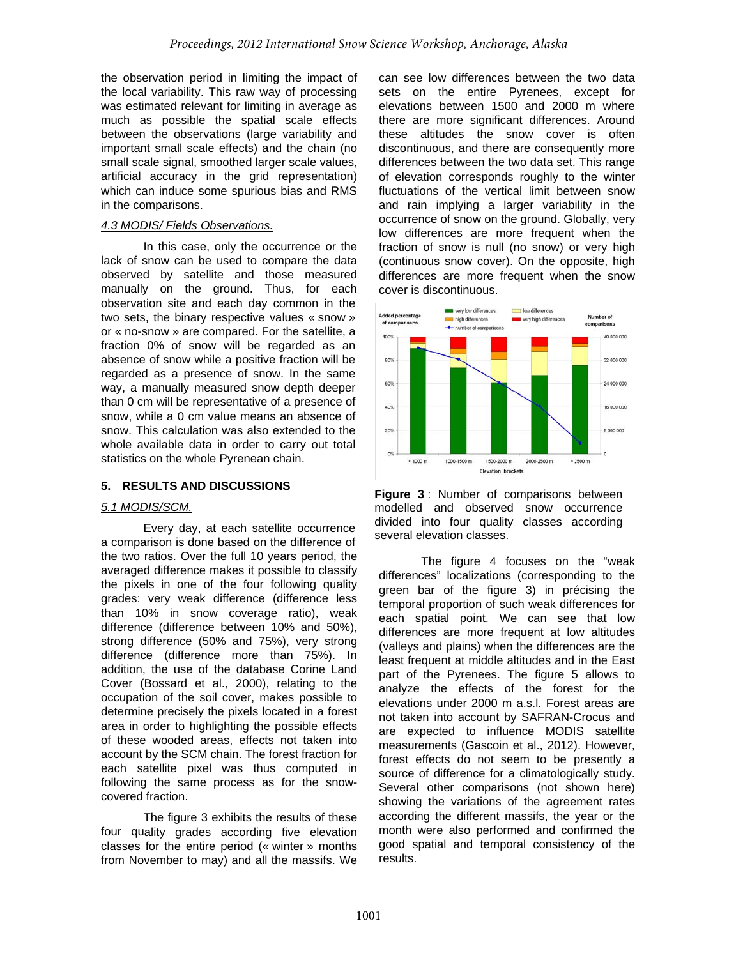the observation period in limiting the impact of the local variability. This raw way of processing was estimated relevant for limiting in average as much as possible the spatial scale effects between the observations (large variability and important small scale effects) and the chain (no small scale signal, smoothed larger scale values, artificial accuracy in the grid representation) which can induce some spurious bias and RMS in the comparisons.

## *4.3 MODIS/ Fields Observations.*

In this case, only the occurrence or the lack of snow can be used to compare the data observed by satellite and those measured manually on the ground. Thus, for each observation site and each day common in the two sets, the binary respective values « snow » or « no-snow » are compared. For the satellite, a fraction 0% of snow will be regarded as an absence of snow while a positive fraction will be regarded as a presence of snow. In the same way, a manually measured snow depth deeper than 0 cm will be representative of a presence of snow, while a 0 cm value means an absence of snow. This calculation was also extended to the whole available data in order to carry out total statistics on the whole Pyrenean chain.

# **5. RESULTS AND DISCUSSIONS**

## *5.1 MODIS/SCM.*

Every day, at each satellite occurrence a comp arison is done based on the difference of the two ratios. Over the full 10 years period, the averaged difference makes it possible to classify the pixels in one of the four following quality grades: very weak difference (difference less than 10% in snow coverage ratio), weak difference (difference between 10% and 50%), strong difference (50% and 75%), very strong difference (difference more than 75%). In addition, the use of the database Corine Land Cover (Bossard et al., 2000), relating to the occupation of the soil cover, makes possible to determine precisely the pixels located in a forest area in order to highlighting the possible effects of these wooded areas, effects not taken into account by the SCM chain. The forest fraction for each satellite pixel was thus computed in following the same process as for the snowcovered fraction.

The figure 3 exhibits the results of these four qu ality grades according five elevation classes for the entire period (« winter » months from November to may) and all the massifs. We

can see low differences between the two data sets on the entire Pyrenees, except for elevations between 1500 and 2000 m where there are more significant differences. Around these altitudes the snow cover is often discontinuous, and there are consequently more differences between the two data set. This range of elevation corresponds roughly to the winter fluctuations of the vertical limit between snow and rain implying a larger variability in the occurrence of snow on the ground. Globally, very low differences are more frequent when the fraction of snow is null (no snow) or very high (continuous snow cover). On the opposite, high differences are more frequent when the snow cover is discontinuous.





The figure 4 focuses on the "weak differen ces" localizations (corresponding to the green bar of the figure 3) in précising the temporal proportion of such weak differences for each spatial point. We can see that low differences are more frequent at low altitudes (valleys and plains) when the differences are the least frequent at middle altitudes and in the East part of the Pyrenees. The figure 5 allows to analyze the effects of the forest for the elevations under 2000 m a.s.l. Forest areas are not taken into account by SAFRAN-Crocus and are expected to influence MODIS satellite measurements (Gascoin et al., 2012). However, forest effects do not seem to be presently a source of difference for a climatologically study. Several other comparisons (not shown here) showing the variations of the agreement rates according the different massifs, the year or the month were also performed and confirmed the good spatial and temporal consistency of the results.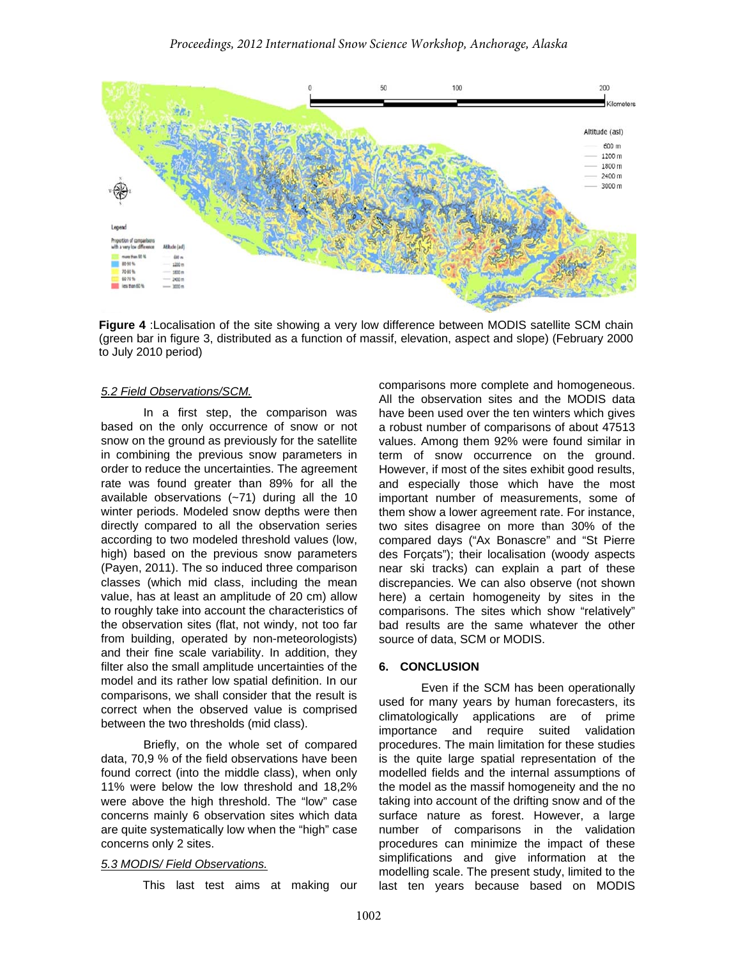

**Figure 4** :Localisation of the site showing a very low difference between MODIS satellite SCM chain (green bar in figure 3, distributed as a function of massif, elevation, aspect and slope) (February 2000 to July 2010 period)

### *5.2 Field Observations/SCM.*

In a first step, the comparison was based on the only occurrence of snow or not snow on the ground as previously for the satellite in combining the previous snow parameters in order to reduce the uncertainties. The agreement rate was found greater than 89% for all the available observations (~71) during all the 10 winter periods. Modeled snow depths were then directly compared to all the observation series according to two modeled threshold values (low, high) based on the previous snow parameters (Payen, 2011). The so induced three comparison classes (which mid class, including the mean value, has at least an amplitude of 20 cm) allow to roughly take into account the characteristics of the observation sites (flat, not windy, not too far from building, operated by non-meteorologists) and their fine scale variability. In addition, they filter also the small amplitude uncertainties of the model and its rather low spatial definition. In our comparisons, we shall consider that the result is correct when the observed value is comprised between the two thresholds (mid class).

Briefly, on the whole set of compared data, 70,9 % of the field observations have been found correct (into the middle class), when only 11% were below the low threshold and 18,2% were above the high threshold. The "low" case concerns mainly 6 observation sites which data are quite systematically low when the "high" case concerns only 2 sites.

### *5.3 MODIS/ Field Observations.*

This last test aims at making our

comparisons more complete and homogeneous. All the observation sites and the MODIS data have been used over the ten winters which gives a robust number of comparisons of about 47513 values. Among them 92% were found similar in term of snow occurrence on the ground. However, if most of the sites exhibit good results, and especially those which have the most important number of measurements, some of them show a lower agreement rate. For instance, two sites disagree on more than 30% of the compared days ("Ax Bonascre" and "St Pierre des Forçats"); their localisation (woody aspects near ski tracks) can explain a part of these discrepancies. We can also observe (not shown here) a certain homogeneity by sites in the comparisons. The sites which show "relatively" bad results are the same whatever the other source of data, SCM or MODIS.

#### **6. CONCLUSION**

Even if the SCM has been operationally used for many years by human forecasters, its climatologically applications are of prime importance and require suited validation procedures. The main limitation for these studies is the quite large spatial representation of the modelled fields and the internal assumptions of the model as the massif homogeneity and the no taking into account of the drifting snow and of the surface nature as forest. However, a large number of comparisons in the validation procedures can minimize the impact of these simplifications and give information at the modelling scale. The present study, limited to the last ten years because based on MODIS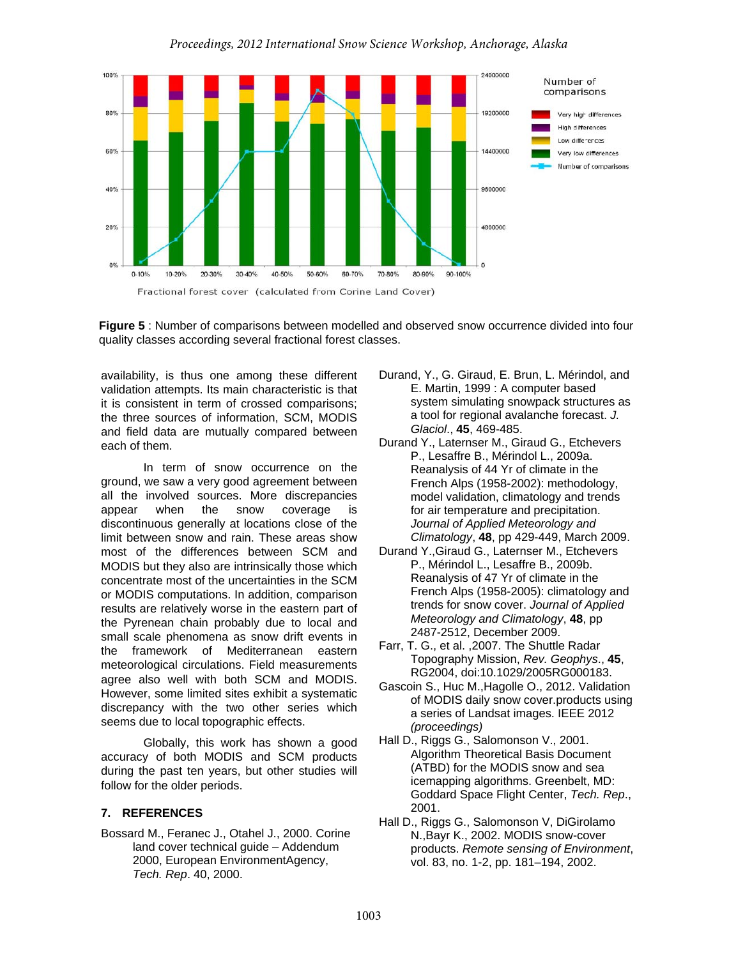

**Figure 5** : Number of comparisons between modelled and observed snow occurrence divided into four quality classes according several fractional forest classes.

availability, is thus one among these different validation attempts. Its main characteristic is that it is consistent in term of crossed comparisons; the three sources of information, SCM, MODIS and field data are mutually compared between each of them.

In term of snow occurrence on the ground, we saw a very good agreement between all the involved sources. More discrepancies appear when the snow coverage is discontinuous generally at locations close of the limit between snow and rain. These areas show most of the differences between SCM and MODIS but they also are intrinsically those which concentrate most of the uncertainties in the SCM or MODIS computations. In addition, comparison results are relatively worse in the eastern part of the Pyrenean chain probably due to local and small scale phenomena as snow drift events in the framework of Mediterranean eastern meteorological circulations. Field measurements agree also well with both SCM and MODIS. However, some limited sites exhibit a systematic discrepancy with the two other series which seems due to local topographic effects.

Globally, this work has shown a good accuracy of both MODIS and SCM products during the past ten years, but other studies will follow for the older periods.

## **7. REFERENCES**

Bossard M., Feranec J., Otahel J., 2000. Corine land cover technical guide – Addendum 2000, European EnvironmentAgency, *Tech. Rep*. 40, 2000.

- Durand, Y., G. Giraud, E. Brun, L. Mérindol, and E. Martin, 1999 : A computer based system simulating snowpack structures as a tool for regional avalanche forecast. *J. Glaciol*., **45**, 469-485.
- Durand Y., Laternser M., Giraud G., Etchevers P., Lesaffre B., Mérindol L., 2009a. Reanalysis of 44 Yr of climate in the French Alps (1958-2002): methodology, model validation, climatology and trends for air temperature and precipitation. *Journal of Applied Meteorology and Climatology*, **48**, pp 429-449, March 2009.
- Durand Y.,Giraud G., Laternser M., Etchevers P., Mérindol L., Lesaffre B., 2009b. Reanalysis of 47 Yr of climate in the French Alps (1958-2005): climatology and trends for snow cover. *Journal of Applied Meteorology and Climatology*, **48**, pp 2487-2512, December 2009.
- Farr, T. G., et al. ,2007. The Shuttle Radar Topography Mission, *Rev. Geophys*., **45**, RG2004, doi:10.1029/2005RG000183.
- Gascoin S., Huc M.,Hagolle O., 2012. Validation of MODIS daily snow cover.products using a series of Landsat images. IEEE 2012 *(proceedings)*
- Hall D., Riggs G., Salomonson V., 2001. Algorithm Theoretical Basis Document (ATBD) for the MODIS snow and sea icemapping algorithms. Greenbelt, MD: Goddard Space Flight Center, *Tech. Rep*., 2001.
- Hall D., Riggs G., Salomonson V, DiGirolamo N.,Bayr K., 2002. MODIS snow-cover products. *Remote sensing of Environment*, vol. 83, no. 1-2, pp. 181–194, 2002.